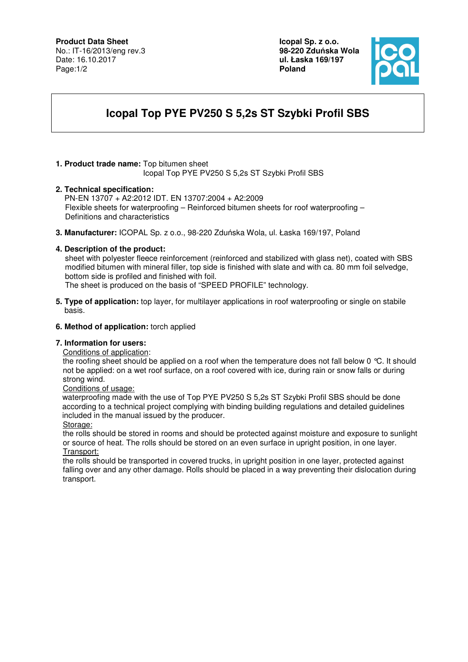# **Product Data Sheet**

No.: IT-16/2013/eng rev.3 Date: 16.10.2017 Page:1/2

**Icopal Sp. z o.o. 98-220 Zdu**ń**ska Wola ul. Łaska 169/197 Poland** 



# **Icopal Top PYE PV250 S 5,2s ST Szybki Profil SBS**

#### **1. Product trade name:** Top bitumen sheet Icopal Top PYE PV250 S 5,2s ST Szybki Profil SBS

### **2. Technical specification:**

PN-EN 13707 + A2:2012 IDT. EN 13707:2004 + A2:2009 Flexible sheets for waterproofing – Reinforced bitumen sheets for roof waterproofing – Definitions and characteristics

**3. Manufacturer:** ICOPAL Sp. z o.o., 98-220 Zduńska Wola, ul. Łaska 169/197, Poland

### **4. Description of the product:**

 sheet with polyester fleece reinforcement (reinforced and stabilized with glass net), coated with SBS modified bitumen with mineral filler, top side is finished with slate and with ca. 80 mm foil selvedge, bottom side is profiled and finished with foil.

The sheet is produced on the basis of "SPEED PROFILE" technology.

**5. Type of application:** top layer, for multilayer applications in roof waterproofing or single on stabile basis.

### **6. Method of application:** torch applied

#### **7. Information for users:**

Conditions of application:

the roofing sheet should be applied on a roof when the temperature does not fall below 0 °C. It should not be applied: on a wet roof surface, on a roof covered with ice, during rain or snow falls or during strong wind.

Conditions of usage:

 waterproofing made with the use of Top PYE PV250 S 5,2s ST Szybki Profil SBS should be done according to a technical project complying with binding building regulations and detailed guidelines included in the manual issued by the producer.

Storage:

the rolls should be stored in rooms and should be protected against moisture and exposure to sunlight or source of heat. The rolls should be stored on an even surface in upright position, in one layer. Transport:

the rolls should be transported in covered trucks, in upright position in one layer, protected against falling over and any other damage. Rolls should be placed in a way preventing their dislocation during transport.